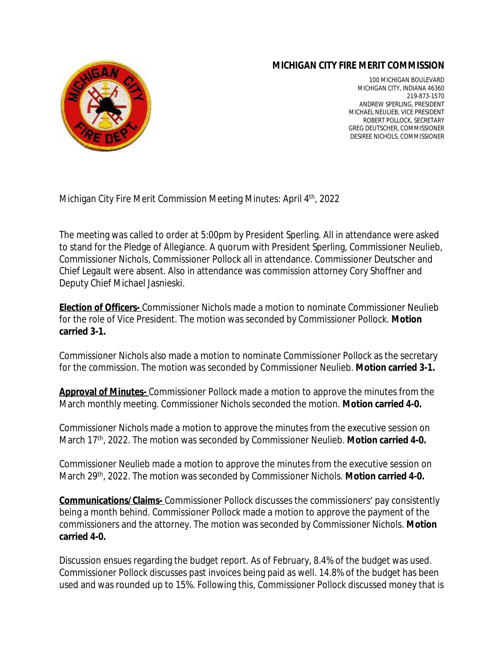## **MICHIGAN CITY FIRE MERIT COMMISSION**



100 MICHIGAN BOULEVARD MICHIGAN CITY, INDIANA 46360 219-873-1570 ANDREW SPERLING, PRESIDENT MICHAEL NEULIEB, VICE PRESIDENT ROBERT POLLOCK, SECRETARY GREG DEUTSCHER, COMMISSIONER DESIREE NICHOLS, COMMISSIONER

Michigan City Fire Merit Commission Meeting Minutes: April 4<sup>th</sup>, 2022

The meeting was called to order at 5:00pm by President Sperling. All in attendance were asked to stand for the Pledge of Allegiance. A quorum with President Sperling, Commissioner Neulieb, Commissioner Nichols, Commissioner Pollock all in attendance. Commissioner Deutscher and Chief Legault were absent. Also in attendance was commission attorney Cory Shoffner and Deputy Chief Michael Jasnieski.

**Election of Officers-** Commissioner Nichols made a motion to nominate Commissioner Neulieb for the role of Vice President. The motion was seconded by Commissioner Pollock. **Motion carried 3-1.** 

Commissioner Nichols also made a motion to nominate Commissioner Pollock as the secretary for the commission. The motion was seconded by Commissioner Neulieb. **Motion carried 3-1.**

**Approval of Minutes-** Commissioner Pollock made a motion to approve the minutes from the March monthly meeting. Commissioner Nichols seconded the motion. **Motion carried 4-0.**

Commissioner Nichols made a motion to approve the minutes from the executive session on March 17th, 2022. The motion was seconded by Commissioner Neulieb. **Motion carried 4-0.**

Commissioner Neulieb made a motion to approve the minutes from the executive session on March 29th, 2022. The motion was seconded by Commissioner Nichols. **Motion carried 4-0.**

**Communications/Claims-** Commissioner Pollock discusses the commissioners' pay consistently being a month behind. Commissioner Pollock made a motion to approve the payment of the commissioners and the attorney. The motion was seconded by Commissioner Nichols. **Motion carried 4-0.**

Discussion ensues regarding the budget report. As of February, 8.4% of the budget was used. Commissioner Pollock discusses past invoices being paid as well. 14.8% of the budget has been used and was rounded up to 15%. Following this, Commissioner Pollock discussed money that is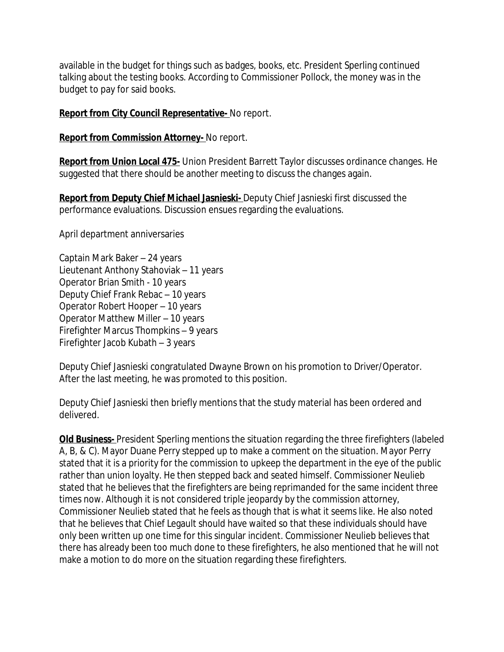available in the budget for things such as badges, books, etc. President Sperling continued talking about the testing books. According to Commissioner Pollock, the money was in the budget to pay for said books.

## **Report from City Council Representative-** No report.

**Report from Commission Attorney-** No report.

**Report from Union Local 475-** Union President Barrett Taylor discusses ordinance changes. He suggested that there should be another meeting to discuss the changes again.

**Report from Deputy Chief Michael Jasnieski-** Deputy Chief Jasnieski first discussed the performance evaluations. Discussion ensues regarding the evaluations.

April department anniversaries

Captain Mark Baker – 24 years Lieutenant Anthony Stahoviak – 11 years Operator Brian Smith - 10 years Deputy Chief Frank Rebac – 10 years Operator Robert Hooper – 10 years Operator Matthew Miller – 10 years Firefighter Marcus Thompkins – 9 years Firefighter Jacob Kubath – 3 years

Deputy Chief Jasnieski congratulated Dwayne Brown on his promotion to Driver/Operator. After the last meeting, he was promoted to this position.

Deputy Chief Jasnieski then briefly mentions that the study material has been ordered and delivered.

**Old Business-** President Sperling mentions the situation regarding the three firefighters (labeled A, B, & C). Mayor Duane Perry stepped up to make a comment on the situation. Mayor Perry stated that it is a priority for the commission to upkeep the department in the eye of the public rather than union loyalty. He then stepped back and seated himself. Commissioner Neulieb stated that he believes that the firefighters are being reprimanded for the same incident three times now. Although it is not considered triple jeopardy by the commission attorney, Commissioner Neulieb stated that he feels as though that is what it seems like. He also noted that he believes that Chief Legault should have waited so that these individuals should have only been written up one time for this singular incident. Commissioner Neulieb believes that there has already been too much done to these firefighters, he also mentioned that he will not make a motion to do more on the situation regarding these firefighters.